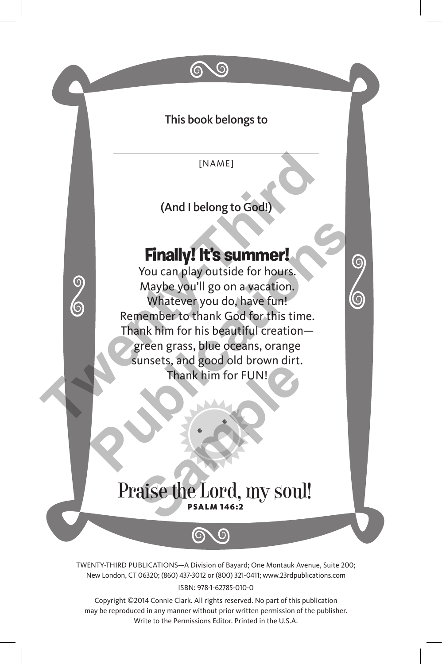

ISBN: 978-1-62785-010-0

Copyright ©2014 Connie Clark. All rights reserved. No part of this publication may be reproduced in any manner without prior written permission of the publisher. Write to the Permissions Editor. Printed in the U.S.A.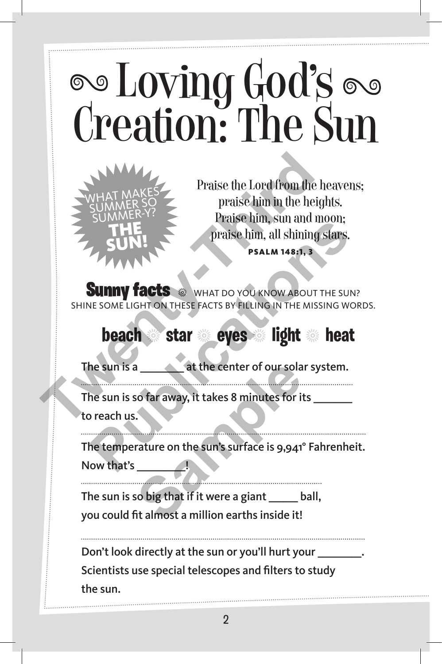# **Soloving God's Sun**<br>Creation: The Sun



Praise the Lord from the heavens; praise him in the heights. Praise him, sun and moon; praise him, all shining stars. Psalm 148:1, 3

**Sunny facts**  $\cdot$  what do you know about the sun? Shine some light on these facts by filling in the missing words.

#### **beach** <sup>4</sup> **star** <sup>4</sup> **eyes** <sup>4</sup> **light** <sup>4</sup> **heat**

The sun is a **at the center of our solar system.** 

The sun is so far away, it takes 8 minutes for its to reach us.

The temperature on the sun's surface is 9,941° Fahrenheit. Now that's **PRINCE SUNTANT PRINCE THE SUNTER SUNTAINS PRINCE PRINCE PRINCE PRINCIPALE SUNTAINS PRINCE PRINCIPALE SUNTAINS PRINCE PRINCIPALE SUNTAINS IN THE SUN?<br>
<b>PUBLICATION THESE FACTS BY FILLING IN THE MISSING WORK**<br> **DEACH** Star a<br> **Sample 12 and 13 and 13 and 13 and 13 and 13 and 13 and 13 and 13 and 13 and 13 and 14 and 15 and 16 and 16 and 16 and 16 and 16 and 16 and 16 and 16 and 16 and 16 and 16 and 16 and 16 and 16 and 16 and 16 and 16 and 1** 

The sun is so big that if it were a giant \_\_\_\_\_\_ ball, you could fit almost a million earths inside it!

Don't look directly at the sun or you'll hurt your \_\_\_\_\_\_\_\_\_\_\_\_\_\_\_\_\_\_\_\_\_\_\_\_\_\_\_\_\_ Scientists use special telescopes and filters to study the sun.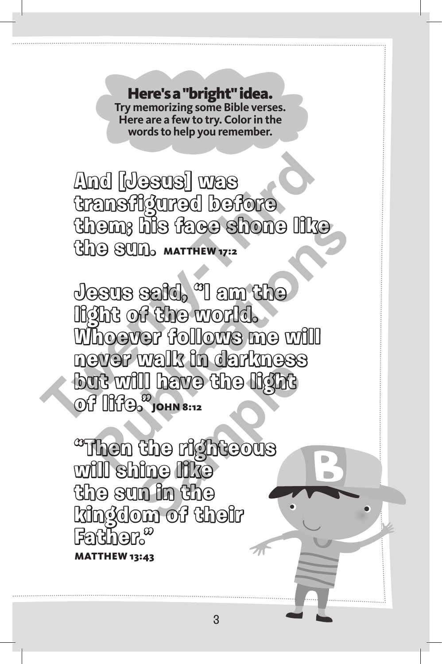Here's a "bright" idea. **Try memorizing some Bible verses. Here are a few to try. Color in the words to help you remember.** 

**And [Jesus] was transfigured before them; his face shone like**  *Ghe sun.* MATTHEW 17:2

**Jesus said, "I am the light of the world. Whoever follows me will never walk in darkness but will have the light Of Illfe. John 8:12** And [Jesus] was<br>transflgured before<br>them; his face shone like<br>the sun. marrier 17:2<br>Jesus said, "I am the<br>light of the world.<br>Whoever follows me will<br>never walk in darkness<br>but will have the light<br>but will have the light<br>o **Publications** 

**"Then the righteous will shine like the sun in the kingdom of their Father."**  Matthew 13:43 **Count to dentance<br>
<b>S** John 8:12<br>
S John 8:12<br>
Che righteous<br>
Sample<br>
Sample<br>
Sample<br>
Sample<br>
Sample<br>
Sample<br>
Sample<br>
Sample

3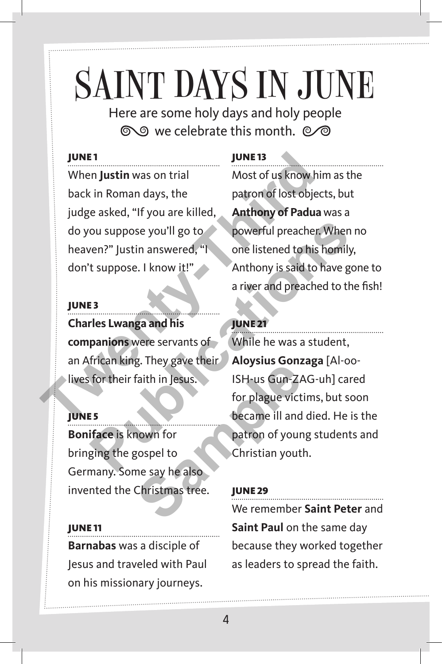## SAINT DAYS IN JUNE

Here are some holy days and holy people to we celebrate this month.  $\oslash\oslash$ 

#### **JUNE1**

When **Justin** was on trial back in Roman days, the judge asked, "If you are killed, do you suppose you'll go to heaven?" Justin answered, "I don't suppose. I know it!" **THE 13**<br>
When Justin was on trial<br>
When Justin was on trial<br>
Dunce 13<br>
When Justin was on trial<br>
most of us know him<br>
patron of lost object<br>
in patron of lost object<br>
do you suppose you'll go to<br>
heaven?" Justin answered,

#### **JUNE3**

#### **Charles Lwanga and his companions** were servants of an African king. They gave their lives for their faith in Jesus.

#### **JUNE 5**

**Boniface** is known for bringing the gospel to Germany. Some say he also invented the Christmas tree.

#### June 11

**Barnabas** was a disciple of Jesus and traveled with Paul on his missionary journeys.

#### June 13

Most of us know him as the patron of lost objects, but **Anthony of Padua** was a powerful preacher. When no one listened to his homily, Anthony is said to have gone to a river and preached to the fish!

#### **JUNE 21**

While he was a student, **Aloysius Gonzaga** [Al-oo-ISH-us Gun-ZAG-uh] cared for plague victims, but soon became ill and died. He is the patron of young students and Christian youth. ou suppose you'll go to<br>
your full go to<br>
your full go to<br>
the listened to his homily,<br>
t suppose. I know it!"<br>
Anthony is said to have gon<br>
a river and preached to the<br>
rices Lwanga and his<br>
panions were servants of<br>
Whil Faith in Jesus.<br>
Faith in Jesus.<br>
ISH-us Gun-ZA<br>
for plague vict<br>
became ill and<br>
nown for<br>
gospel to<br>
christian yout<br>
Christian yout<br>
Christian yout<br>
We remember

#### **JUNE 29**

We remember **Saint Peter** and **Saint Paul** on the same day because they worked together as leaders to spread the faith.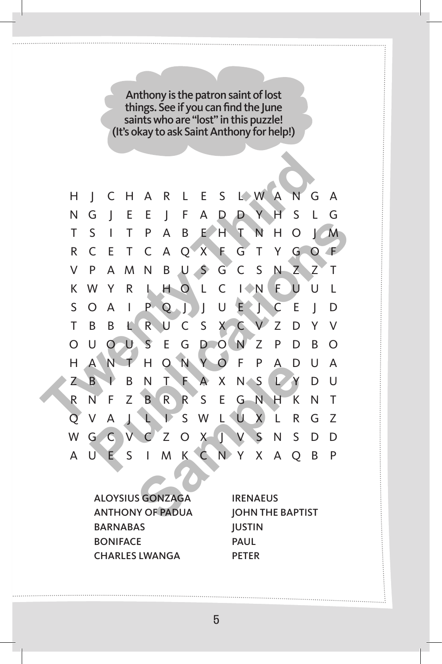Anthony is the patron saint of lost things. See if you can find the June saints who are "lost" in this puzzle! (It's okay to ask Saint Anthony for help!)



Aloysius Gonzaga Anthony of Padua **BARNABAS BONIFACE** Charles Lwanga

**IRENAEUS** John the Baptist **IUSTIN** Paul **PETER**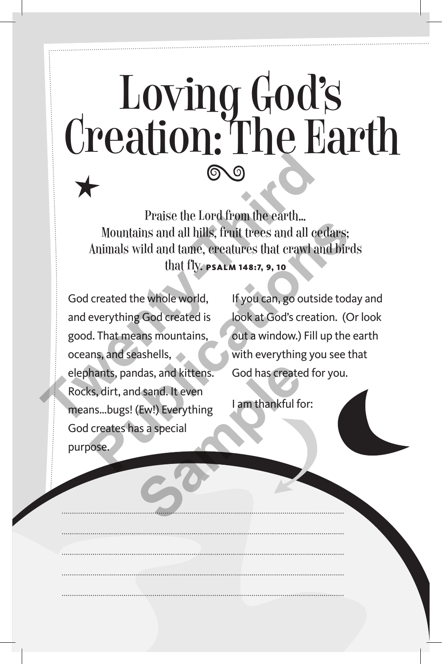# Loving God's<br>Creation: The Earth

Praise the Lord from the earth… Mountains and all hills, fruit trees and all cedars; Animals wild and tame, creatures that crawl and birds that fly. Psalm 148:7, 9, 10

God created the whole world, and everything God created is good. That means mountains, oceans, and seashells, elephants, pandas, and kittens. Rocks, dirt, and sand. It even means…bugs! (Ew!) Everything God creates has a special purpose. Praise the Lord from the earth...<br>
Mountains and all hills, fruit trees and all oed<br>
Animals wild and tame, creatures that crawl and<br>
that fly. **FSALM 148:7, 9, 10**<br>
God created the whole world, If you can, go outside<br>
and Mountains and all hills, fruit trees and all cedars;<br>Animals wild and tame, ereatures that crawl and birds<br>that fly. **PSALM 148:7, 9, 10**<br>created the whole world, If you can, go outside today<br>everything God created is look ndas, and kittens.<br> **Sood has create**<br> **Sample Law Servery thing**<br> **Sample Servery thing**<br> **Sample Servery thing**<br> **Sample Servery thing**<br> **Sample Servery thing** 

If you can, go outside today and look at God's creation. (Or look out a window.) Fill up the earth with everything you see that God has created for you.

I am thankful for: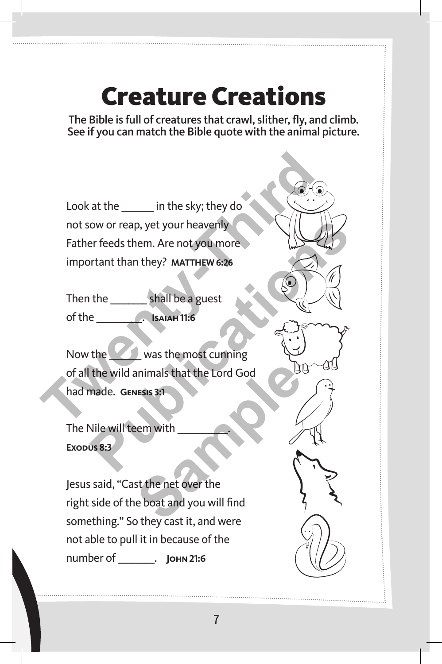#### Creature Creations

The Bible is full of creatures that crawl, slither, fly, and climb. See if you can match the Bible quote with the animal picture.

Look at the \_\_\_\_\_\_\_ in the sky; they do not sow or reap, yet your heavenly Father feeds them. Are not you more important than they? **Matthew 6:26 Twenty-Third** 

Then the shall be a guest of the \_\_\_\_\_\_\_\_\_\_. **Isaiah 11:6**

Now the **Now the Was the most cunning** of all the wild animals that the Lord God had made. **Genesis 3:1** Now or reap, yet your heavenly<br>
Publications are not you more<br>
Publications and the shall be a guest<br>
Publications and the shall be a guest<br>
Publications and the shall be a guest<br>
Publication of the solar most cumning<br>
the

The Nile will teem with Exopus 8:3

Jesus said, "Cast the net over the right side of the boat and you will find something." So they cast it, and were not able to pull it in because of the number of \_\_\_\_\_\_\_\_. **John 21:6** Samples that the Lord God<br>
Suesis 3:1<br>
Been with<br>
State net over the<br>
e boat and you will find<br>
they cast it and were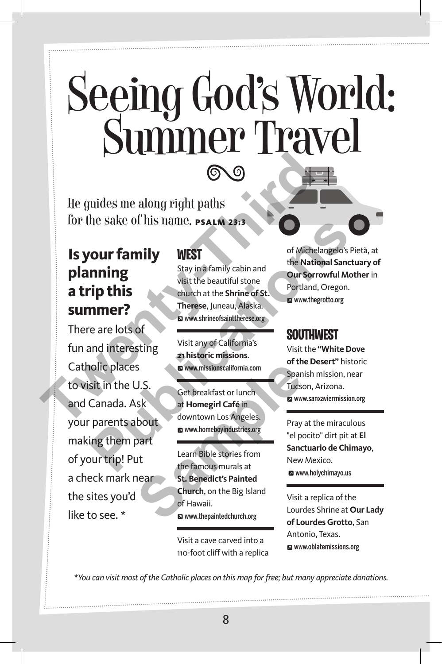## Seeing God's World: Summer Travel

He guides me along right paths for the sake of his name. PSALM 23:3

#### **Is your family planning a trip this summer?**

There are lots of fun and interesting Catholic places to visit in the U.S. and Canada. Ask your parents about making them part of your trip! Put a check mark near the sites you'd like to see. \* The guides me along right paths<br>
for the sake of his name. **PSALM 23:3**<br>
Is your family<br>
Stay in a family cabin and<br>
stay in a family cabin and<br>
stay in a family cabin and<br>
stay in a family cabin and<br>
stay in a family cabi The Sacre of Michelangelos Piet<br> **Publication of Michelangelos Piet**<br> **Publication of Michelangelos Piet<br>
This stay in a family cabin and<br>
visit the beautiful stone<br>
visit the beautiful stone<br>
cours of Michelangelos Piet<br>** 

#### **West**

Stay in a family cabin and visit the beautiful stone church at the **Shrine of St. Therese**, Juneau, Alaska. W www.shrineofsainttherese.org

Visit any of California's **21 historic missions**. W www.missionscalifornia.com

Get breakfast or lunch at **Homegirl Café** in downtown Los Angeles. W www.homeboyindustries.org

Learn Bible stories from the famous murals at **St. Benedict's Painted Church**, on the Big Island of Hawaii. W www.thepaintedchurch.org S.<br>
S. Set breakfast or lunch<br>
at Homegiri Café in<br>
a www.homeboyindustries.org<br>
a www.homeboyindustries.org<br>
a www.homeboyindustries.org<br>
a www.homeboyindustries.org<br>
a www.homeboyindustries.org<br>
a www.homeboyindustries.o

> Visit a cave carved into a 110-foot cliff with a replica

of Michelangelo's Pietà, at the **National Sanctuary of Our Sorrowful Mother** in Portland, Oregon. www.thegrotto.org

#### **Southwest**

Visit the **"White Dove of the Desert"** historic Spanish mission, near Tucson, Arizona. W www.sanxaviermission.org

Pray at the miraculous "el pocito" dirt pit at **El Sanctuario de Chimayo**, New Mexico. **EX** www.holychimayo.us

Visit a replica of the Lourdes Shrine at **Our Lady of Lourdes Grotto**, San Antonio, Texas. W www.oblatemissions.org

*\*You can visit most of the Catholic places on this map for free; but many appreciate donations.*

8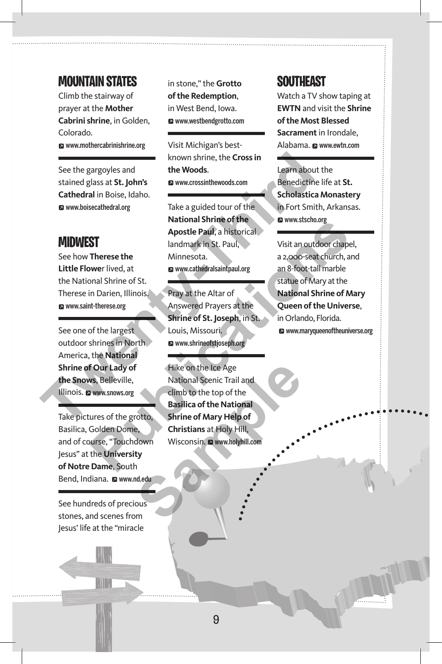#### **Mountain States**

Climb the stairway of prayer at the **Mother Cabrini shrine**, in Golden, Colorado. W www.mothercabrinishrine.org

See the gargoyles and stained glass at **St. John's Cathedral** in Boise, Idaho. W www.boisecathedral.org

#### **Midwest**

See how **Therese the Little Flowe**r lived, at the National Shrine of St. Therese in Darien, Illinois. **E** www.saint-therese.org

See one of the largest outdoor shrines in North America, the **National Shrine of Our Lady of the Snows**, Belleville, Illinois. www.snows.org

Take pictures of the grotto, Basilica, Golden Dome, and of course, "Touchdown Jesus" at the **University of Notre Dame**, South Bend, Indiana. a www.nd.edu

See hundreds of precious stones, and scenes from Jesus' life at the "miracle



in stone," the **Grotto of the Redemption**, in West Bend, Iowa. W www.westbendgrotto.com

Visit Michigan's bestknown shrine, the **Cross in the Woods**. W www.crossinthewoods.com

Take a guided tour of the **National Shrine of the Apostle Paul**, a historical landmark in St. Paul, Minnesota. W www.cathedralsaintpaul.org See the gargoyles and<br>
See the gargoyles and<br> **The Woods.**<br> **The Woods.**<br> **The Woods.**<br> **The Woods.**<br> **The MIDWEST**<br> **The action of the Scholar See how Therese the Minnesotal And Scholar See how Therese the Minnesotal and** 

Pray at the Altar of Answered Prayers at the **Shrine of St. Joseph**, in St. Louis, Missouri. W www.shrineofstjoseph.org

Hike on the Ice Age National Scenic Trail and climb to the top of the **Basilica of the National Shrine of Mary Help of Christians** at Holy Hill, Wisconsin. @ www.holyhill.com Filike on the Ice Age<br>
National Scenic Trail and<br>
climb to the top of the<br> **Basilica of the National**<br>
Shrine of Mary Help of<br>
e,<br>
Christians at Holy Hill,<br>
Wisconsin. **a** www.holyhill.com<br>
ty<br>
nd.edu<br>
ous<br>
m

#### **Southeast**

Watch a TV show taping at **EWTN** and visit the **Shrine of the Most Blessed Sacrament** in Irondale, Alabama. @ www.ewtn.com

Learn about the Benedictine life at **St. Scholastica Monastery** in Fort Smith, Arkansas. W www.stscho.org

Visit an outdoor chapel, a 2,000-seat church, and an 8-foot-tall marble statue of Mary at the **National Shrine of Mary Queen of the Universe**, in Orlando, Florida. **E** www.maryqueenoftheuniverse.org **Public Later of the control of the district of the district and the University Dame, South the University Dame, South**<br> **Public Later of the University of the Later of the University of the largest and Solutions and Socie**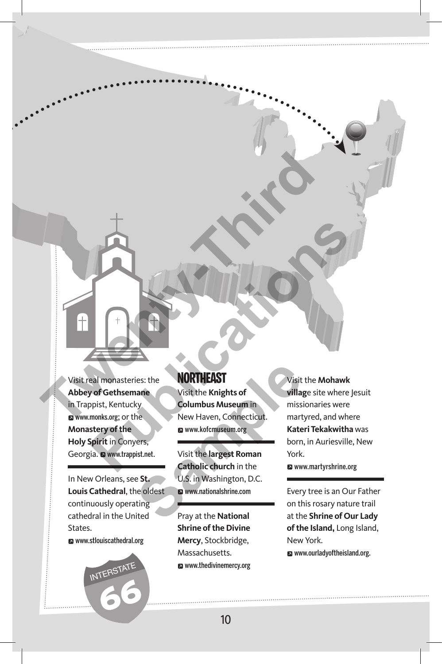Visit real monasteries: the **Abbey of Gethsemane** in Trappist, Kentucky **a** www.monks.org; or the **Monastery of the Holy Spirit** in Conyers, Georgia. @ www.trappist.net. Visit real monasteries: the<br>
NORTHEAST<br>
Abbey of Gethsemarie<br>
Trappist, Kentucky<br> **The Knights of**<br>
Trappist, Kentucky<br> **The Knights of Multiplemarie (Solumbus Museum in**<br>
Numer Haven, Connecticut. The Missionaries<br>
New Ha

In New Orleans, see **St. Louis Cathedral**, the oldest continuously operating cathedral in the United States.

W www.stlouiscathedral.org



#### **Northeast**

Visit the **Knights of Columbus Museum** in New Haven, Connecticut. W www.kofcmuseum.org Example 15<br>
In the MORTHEAST<br>
Usit the Knights of<br>
Columbus Museum in<br>
New Haven, Connecticut.<br>
Example 15<br>
Samples 19<br>
Samples 19<br>
Samples 19<br>
Samples 19<br>
U.S. in Washington, D.C.<br>
Examples 19<br>
U.S. in Washington, D.C.<br>
E

Visit the **largest Roman Catholic church** in the U.S. in Washington, D.C. W www.nationalshrine.com

Pray at the **National Shrine of the Divine Mercy**, Stockbridge, Massachusetts. W www.thedivinemercy.org

Visit the **Mohawk villag**e site where Jesuit missionaries were martyred, and where **Kateri Tekakwitha** was born, in Auriesville, New York. W www.martyrshrine.org **Publications Controlled Activity**<br> **Publications and Controlled Activity**<br> **Publications and Controlled Activity**<br> **Publications Activity**<br> **Publications Activity**<br> **Publications and Activity**<br> **Publications and Activity** 

> Every tree is an Our Father on this rosary nature trail at the **Shrine of Our Lady of the Island,** Long Island, New York. **2** www.ourladyoftheisland.org.

10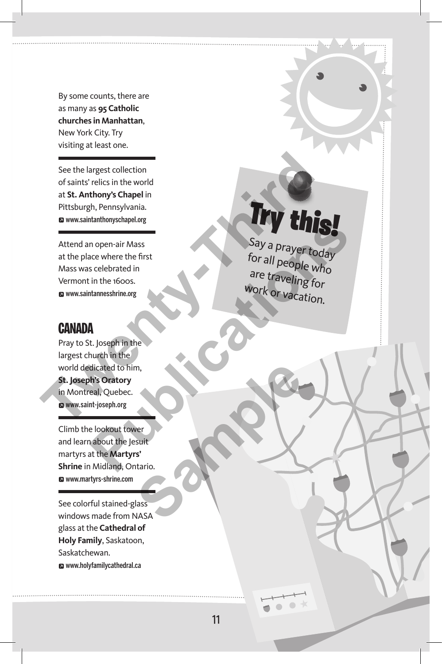By some counts, there are as many as **95 Catholic churches in Manhattan**, New York City. Try visiting at least one.

See the largest collection of saints' relics in the world at **St. Anthony's Chapel** in Pittsburgh, Pennsylvania. W www.saintanthonyschapel.org

Attend an open-air Mass at the place where the first Mass was celebrated in Vermont in the 1600s. W www.saintannesshrine.org

#### **Canada**

Pray to St. Joseph in the largest church in the world dedicated to him, **St. Joseph's Oratory**  in Montreal, Quebec. W www.saint-joseph.org See the largest collection<br>
of saints' relics in the world<br>
at St. Anthony's Chapel in<br>
Pittsburgh, Pennsylvania.<br> **The Largest Collection**<br>
Attend an open-air Mass<br>
at the place where the first<br>
Mass was celebrated in<br>
Ve

Climb the lookout tower and learn about the Jesuit martyrs at the **Martyrs' Shrine** in Midland, Ontario. W www.martyrs-shrine.com **Maritimes** 

See colorful stained-glass windows made from NASA glass at the **Cathedral of Holy Family**, Saskatoon, Saskatchewan. W www.holyfamilycathedral.ca

### Try this!

Say a prayer today for all people who are traveling for work or vacation. Manumony scrapel.org<br>
nopen-air Mass<br>
scee where the first<br>
scee where the first<br>
sceedbrated in<br>
in the 1600s.<br>
are traveling for<br>
are traveling for<br>
work or vacation.<br>
Manumeshime.org<br>
Mork or vacation.<br>
A<br>
Hipsephorg<br>
e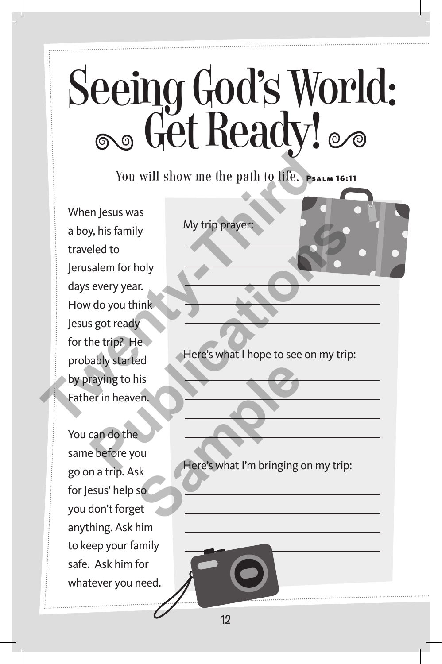# Seeing God's World:<br>
Seeing God's World:

You will show me the path to life. PSALM 16:11

When Jesus was a boy, his family traveled to Jerusalem for holy days every year. How do you think Jesus got ready for the trip? He probably started by praying to his Father in heaven. You will show me the path to life.<br>
When Jesus was<br>
a boy, his family<br>
traveled to<br>
Jerusalem for holy<br>
days every year.<br>
How do you think<br>
Jesus got ready<br>
for the trip? He<br>
probably started<br>
by praying to his<br>
Father in My trip prayer:<br>
eled to<br>
salem for holy<br>
every year.<br> *Publy started*<br> *Publy started*<br> **Publy started**<br> **Publy started**<br> **Publy started**<br> **Publy started**<br> **Publy started**<br> **Publy started**<br> **Publy started**<br> **Publy started** 

You can do the same before you go on a trip. Ask for Jesus' help so you don't forget anything. Ask him to keep your family safe. Ask him for whatever you need. ed<br>
is<br>
en.<br>
ou<br>
ou<br>
sk<br>
so<br>
et<br> **Sample Contained the Container of the Container of the Pinging of Sample Container of the Container** 

My trip prayer:

Here's what I hope to see on my trip:

Here's what I'm bringing on my trip: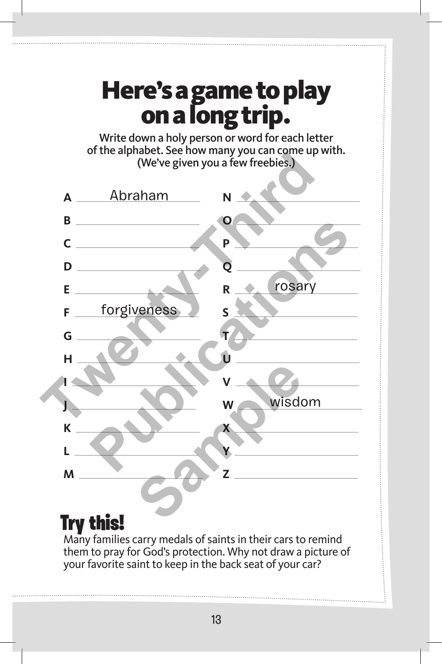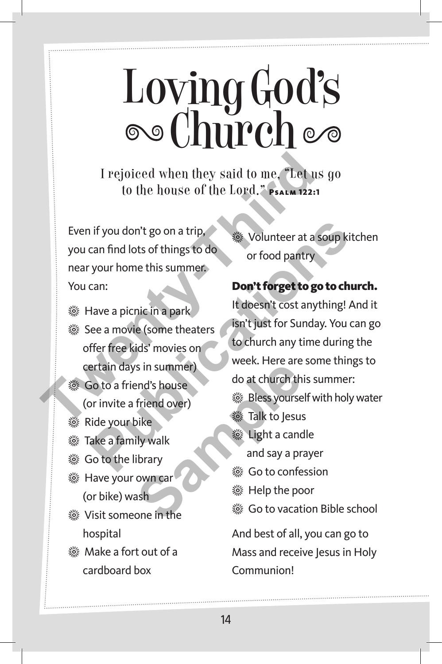## Loving God's<br>©©Church

I rejoiced when they said to me, "Let us go to the house of the Lord." PSALM 122:1

Even if you don't go on a trip, you can find lots of things to do near your home this summer. You can:

- **※ Have a picnic in a park ※ See a movie (some theaters**
- offer free kids' movies on certain days in summer)
- **※ Go to a friend's house** 
	- (or invite a friend over)
- **※ Ride your bike**
- **※ Take a family walk**
- **※ Go to the library**
- **※ Have your own car** (or bike) wash
- **※ Visit someone in the** hospital
- **※ Make a fort out of a** cardboard box

**※ Volunteer at a soup kitchen** or food pantry

#### Don't forget to go to church.

It doesn't cost anything! And it isn't just for Sunday. You can go to church any time during the week. Here are some things to do at church this summer: **※ Bless yourself with holy water ※ Talk to Jesus ※ Light a candle** and say a prayer **※ Go to confession ※ Help the poor ※ Go to vacation Bible school** And best of all, you can go to Mass and receive Jesus in Holy Communion! I rejoiced when they said to me, "Let us to the house of the Lord," PSALM 122:1<br>
for the house of the Lord, "PSALM 122:1<br>
Even if you don't go on a trip,<br>
you can find lots of things to do<br>
near your home this summer.<br>
You **Publicary** if you don't go on a trip,<br>
can find lots of things to do<br>
your home this summer.<br>
Can:<br> **Publications in the summer.**<br> **Publications in the summer.**<br> **Publications in the summer of the summer of the summer of** Examples the samples of the same of the same of the same of the same of the same of the same of the same of the same of the same of the same of the same of the same of the same of the same of the same of the same of the sa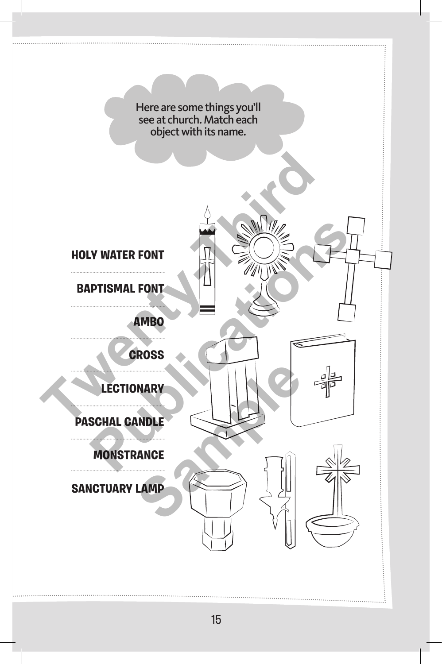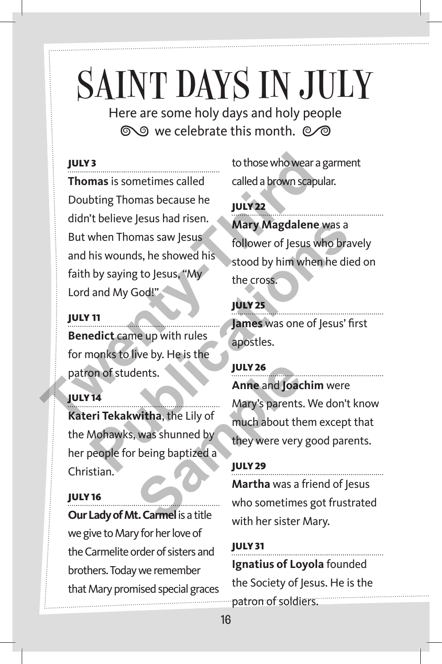## SAINT DAYS IN JULY

Here are some holy days and holy people  $\infty$  we celebrate this month.  $\infty$ 

#### July 3

**Thomas** is sometimes called Doubting Thomas because he didn't believe Jesus had risen. But when Thomas saw Jesus and his wounds, he showed his faith by saying to Jesus, "My Lord and My God!" From as is sometimes called<br>
Doubting Thomas because he<br>
didn't believe Jesus had risen.<br>
But when Thomas saw Jesus<br>
Anary Magdalene w<br>
But when Thomas saw Jesus<br>
and his wounds, he showed his<br>
faith by saying to Jesus, "M

#### July 11

**Benedict** came up with rules for monks to live by. He is the patron of students.

#### July 14

**Kateri Tekakwitha**, the Lily of the Mohawks, was shunned by her people for being baptized a Christian. **Same and Joach Mary's parents.**<br> **Same and Joach Mary's parents.**<br>
Wary's parents.<br>
Wary's parents.<br>
Mary's parents.<br>
Mary's parents.<br>
Mary's parents.<br>
Mary's parents.<br>
Mary's parents.<br>
They were very being baptized a<br> **S** 

#### July 16

**Our Lady of Mt. Carmel is a title** we give to Mary for her love of the Carmelite order of sisters and brothers. Today we remember that Mary promised special graces to those who wear a garment called a brown scapular.

#### July 22

**Mary Magdalene** was a follower of Jesus who bravely stood by him when he died on the cross.

#### July 25

**James** was one of Jesus' first apostles.

July 26 **Anne** and **Joachim** were Mary's parents. We don't know much about them except that they were very good parents. Fourieve jesus had itself.<br>
When Thomas saw Jesus<br>
his wounds, he showed his<br>
by saying to Jesus, "My<br>
and My God!"<br> **Puty 25**<br>
and My God!"<br> **Puty 25**<br> **PUTY 25**<br> **PUTY 26**<br>
Anne and Joachim were<br>
nonks to live by. He is

#### **JULY 29 Martha** was a friend of Jesus who sometimes got frustrated with her sister Mary.

**JULY 31 Ignatius of Loyola** founded the Society of Jesus. He is the patron of soldiers.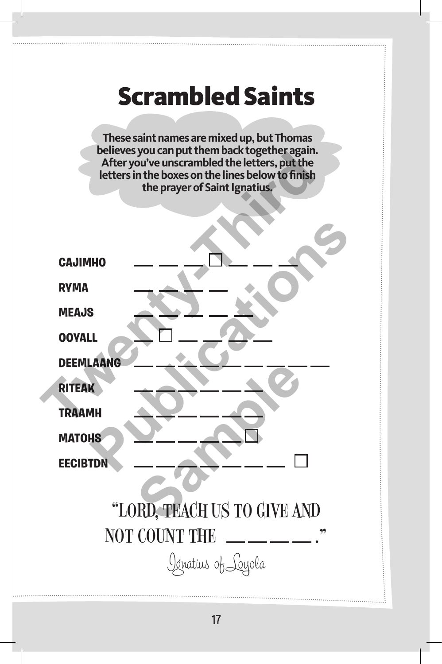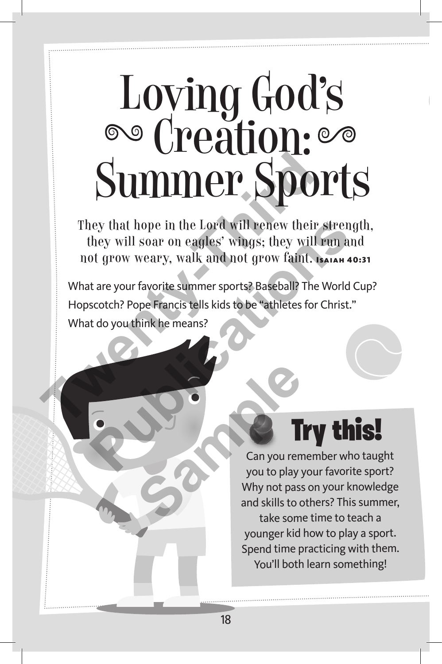# Loving God's Creation: Summer Sports<br>
They that hope in the Lord will renew their strength<br>
they will soar on eagles' wings; they will run and<br>
not grow weary, walk and not grow faint.<br>
What are your favorite summer sports?<br>
Hopscotch? Pope Fran

They that hope in the Lord will renew their strength, they will soar on eagles' wings; they will run and not grow weary, walk and not grow faint. Isaiah 40:31

What are your favorite summer sports? Baseball? The World Cup? Hopscotch? Pope Francis tells kids to be "athletes for Christ." What do you think he means? **Publication** Contains the United States of the United States wings: they will run and ot grow weary, walk and not grow faint. Learn 40:<br>
A tare your favorite summer sports? Baseball? The World Cuscotch? Pope Francis tells



Can you remember who taught you to play your favorite sport? Why not pass on your knowledge and skills to others? This summer, take some time to teach a younger kid how to play a sport. Spend time practicing with them. You'll both learn something! **Sample Transform**<br>
Can you to play<br>
Vhy not pass<br>
and skills to c<br>
take some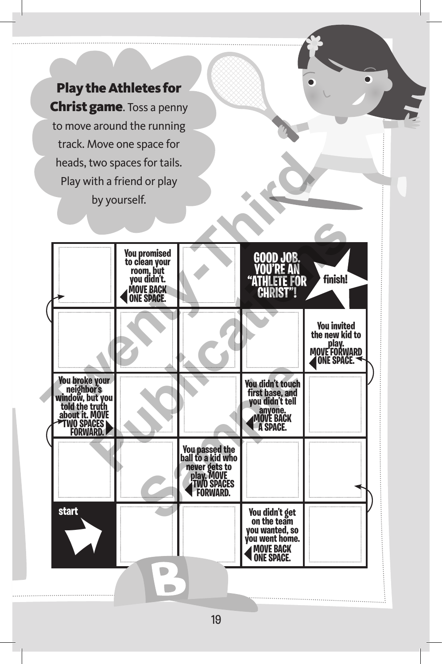Play the Athletes for **Christ game.** Toss a penny to move around the running track. Move one space for heads, two spaces for tails. Play with a friend or play by yourself.

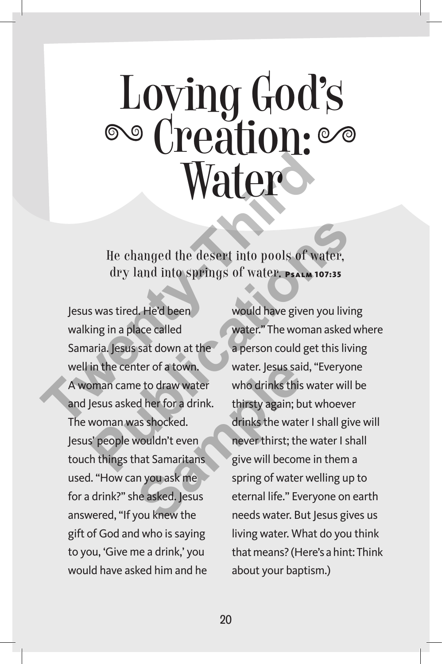### Loving God's Creation: ater

He changed the desert into pools of water, dry land into springs of water. Psalm 107:35

Jesus was tired. He'd been walking in a place called Samaria. Jesus sat down at the well in the center of a town. A woman came to draw water and Jesus asked her for a drink. The woman was shocked. Jesus' people wouldn't even touch things that Samaritans used. "How can you ask me for a drink?" she asked. Jesus answered, "If you knew the gift of God and who is saying to you, 'Give me a drink,' you would have asked him and he **The changed the desert into pools of water**<br>the changed the desert into pools of water<br>dry land into springs of water.<br>Present into pools of water<br>less was tired. He'd been<br>would have given your and less was tired.<br>He wel the state of a town.<br>
e to draw water who drinks this<br>
d her for a drink. thirsty again; but as shocked.<br>
wouldn't even never thirst; the wate<br>
wouldn't even never thirst; the wate<br>
m you ask me spring of water<br>
ne asked,

would have given you living water." The woman asked where a person could get this living water. Jesus said, "Everyone who drinks this water will be thirsty again; but whoever drinks the water I shall give will never thirst; the water I shall give will become in them a spring of water welling up to eternal life." Everyone on earth needs water. But Jesus gives us living water. What do you think that means? (Here's a hint: Think about your baptism.) He changed the desert into pools of water,<br>
dry land into springs of water. **PSALM 107:35**<br>
s was tired. He'd been<br>
would have given you living<br>
ing in a place called<br>
water." The woman asked where."<br>
The woman asked water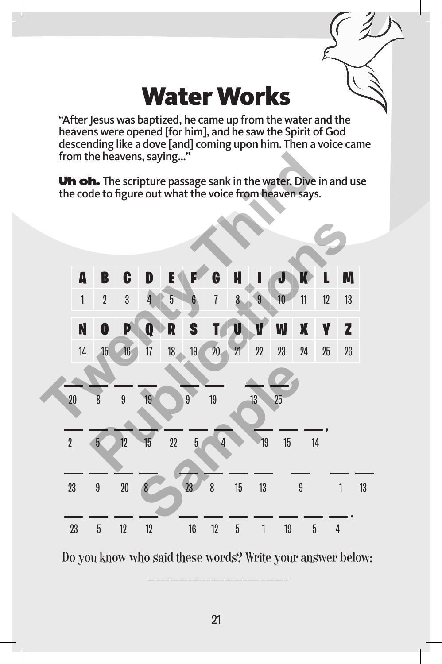#### Water Works

"After Jesus was baptized, he came up from the water and the heavens were opened [for him], and he saw the Spirit of God descending like a dove [and] coming upon him. Then a voice came from the heavens, saying…"

Uh oh. The scripture passage sank in the water. Dive in and use the code to figure out what the voice from heaven says.



Do you know who said these words? Write your answer below: \_\_\_\_\_\_\_\_\_\_\_\_\_\_\_\_\_\_\_\_\_\_\_\_\_\_\_\_\_\_\_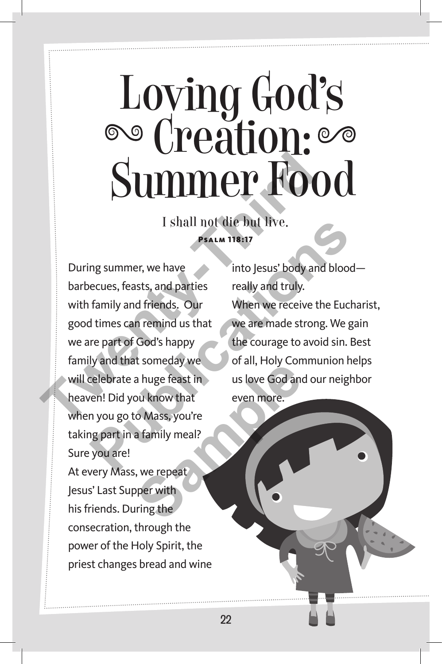## Loving God's Creation:

I shall not die but live. Psalm 118:17

Summer, we have<br>
I shall not die but live.<br>
During summer, we have<br>
During summer, we have<br>
During summer, we have<br>
During summer, we have<br>
the busing and truly.<br>
This is the pool of the source in the summer of God's happy During summer, we have barbecues, feasts, and parties with family and friends. Our good times can remind us that we are part of God's happy family and that someday we will celebrate a huge feast in heaven! Did you know that when you go to Mass, you're taking part in a family meal? Sure you are! At every Mass, we repeat Jesus' Last Supper with his friends. During the consecration, through the power of the Holy Spirit, the priest changes bread and wine I shall not die but live.<br> **PEALM 118:17**<br> **PEALM 118:17**<br>
Into Jesus' body and blood-<br>
eccues, feasts, and parties include the properties of God's happy<br>
the mate error of God's happy<br>
the courage to avoid sin. Be<br>
yand t Example the solution of any total, they contain the solution of any total, they contain the solution of the solution of the solution of the solution of the solution of the solution of the solution of the solution of the so

into Jesus' body and blood really and truly. When we receive the Eucharist, we are made strong. We gain the courage to avoid sin. Best of all, Holy Communion helps us love God and our neighbor even more.

22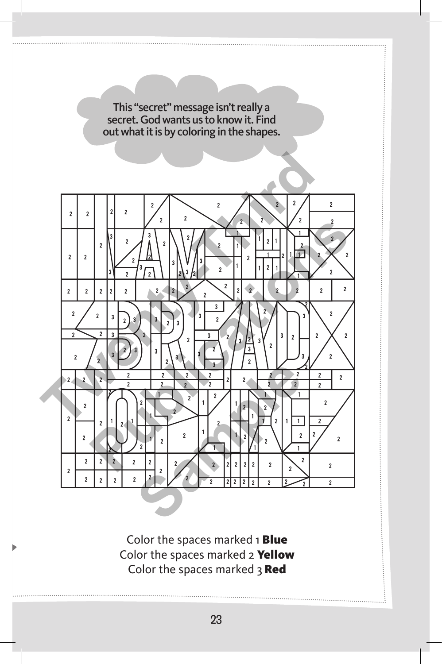

23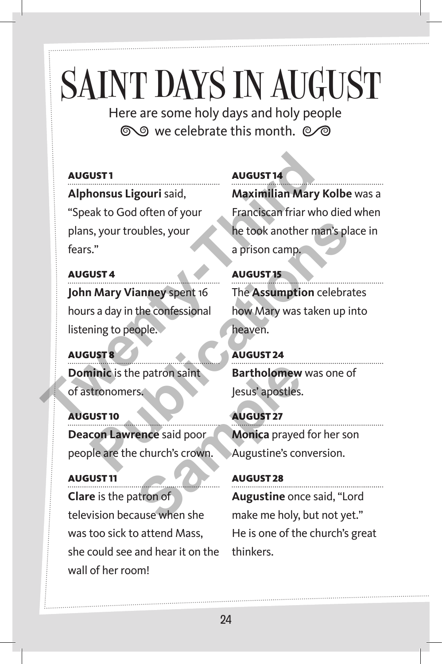## SAINT DAYS IN AUGUST

Here are some holy days and holy people to we celebrate this month.  $\oslash\oslash$ 

#### August 1

**Alphonsus Ligouri** said, "Speak to God often of your

plans, your troubles, your fears."

#### August 4

**John Mary Vianney** spent 16 hours a day in the confessional listening to people. **Example 18**<br> **The August 18**<br> **The August 19**<br> **The August 19**<br> **The Assumption Contains 2**<br> **The Assumption Contains 2**<br> **The Assumption Contains 2**<br> **The Assumption Contains 2**<br> **The Assumption Contains 2**<br> **The Assumpt** 

August 8 **Dominic** is the patron saint

of astronomers.

August 10 **Deacon Lawrence** said poor people are the church's crown.

August 11 **Clare** is the patron of television because when she was too sick to attend Mass, she could see and hear it on the wall of her room! Examples a more in the said poor and the said poor and the said poor and the said poor and the said poor and the said poor and the same of a said poor and the same of a same of a same of a same of a same of a same of a sam

#### August 14

**Maximilian Mary Kolbe** was a Franciscan friar who died when he took another man's place in a prison camp.

August 15 The **Assumption** celebrates how Mary was taken up into heaven. S., Your troubles, your<br>
S."<br> **Pusta**<br> **Pusta**<br> **Pusta**<br> **Pusta**<br> **Pusta**<br> **Pusta**<br> **Pustaine Spect 16**<br> **Pustaine Spect 16**<br> **Pustaine Spect 16**<br> **Pustaine Spect 16**<br> **Pustaine Spect 16**<br> **Pustaine Spect 16**<br> **Pustaine Sp** 

August 24 **Bartholomew** was one of Jesus' apostles.

August 27 **Monica** prayed for her son Augustine's conversion.

August 28 **Augustine** once said, "Lord make me holy, but not yet." He is one of the church's great thinkers.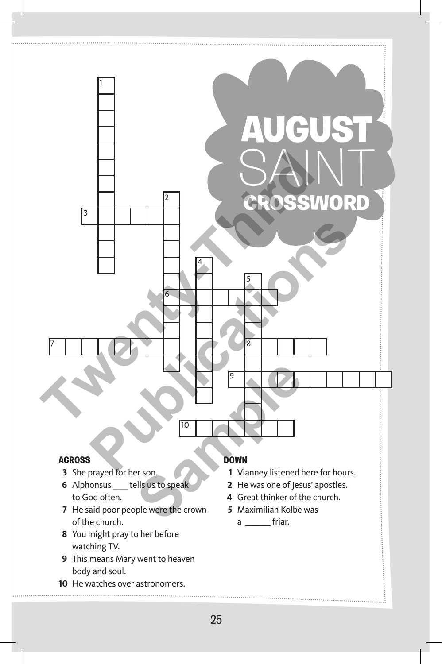

#### **Across**

- She prayed for her son.
- Alphonsus \_\_\_\_ tells us to speak to God often.
- He said poor people were the crown of the church.
- You might pray to her before watching TV.
- This means Mary went to heaven body and soul.
- He watches over astronomers.

#### **Down**

- Vianney listened here for hours.
- He was one of Jesus' apostles.
- Great thinker of the church.
- Maximilian Kolbe was

 $a \underline{\hspace{1cm}}$  friar.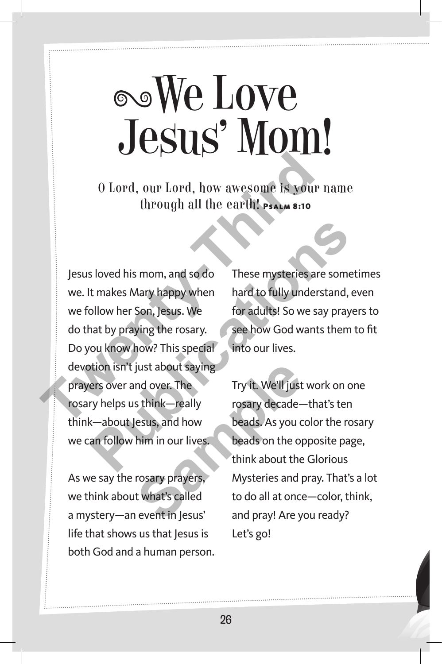## We Love Jesus' Mom!

O Lord, our Lord, how awesome is your name through all the earth! PSALM 8:10

Jesus loved his mom, and so do we. It makes Mary happy when we follow her Son, Jesus. We do that by praying the rosary. Do you know how? This special devotion isn't just about saying prayers over and over. The rosary helps us think—really think—about Jesus, and how we can follow him in our lives. **The Contract of the UP of the UP of the UP of the UP of the Control of the Control of the Control of the Control of the Control of the UP of the UP of the UP of the UP of the UP of the UP of the UP of the UP of the UP of** S loved his mom, and so do<br>
I these mysteries are sometit<br>
t makes Mary happy when<br>
blow her Son, Jesus. We<br>
for adults! So we say prayers<br>
nat by praying the rosary.<br>
see how God wants them to<br>
you know how? This special<br>

As we say the rosary prayers, we think about what's called a mystery—an event in Jesus' life that shows us that Jesus is both God and a human person.

These mysteries are sometimes hard to fully understand, even for adults! So we say prayers to see how God wants them to fit into our lives.

Try it. We'll just work on one rosary decade—that's ten beads. As you color the rosary beads on the opposite page, think about the Glorious Mysteries and pray. That's a lot to do all at once—color, think, and pray! Are you ready? Let's go! Figure 1.5 The Try it. We'll just<br>
s think—really<br>
s think—really<br>
s think—really<br>
s think —really<br>
s to beads. As you commin in our lives.<br>
beads on the operation of think about the<br>
rosary prayers,<br>
think about the<br>
thin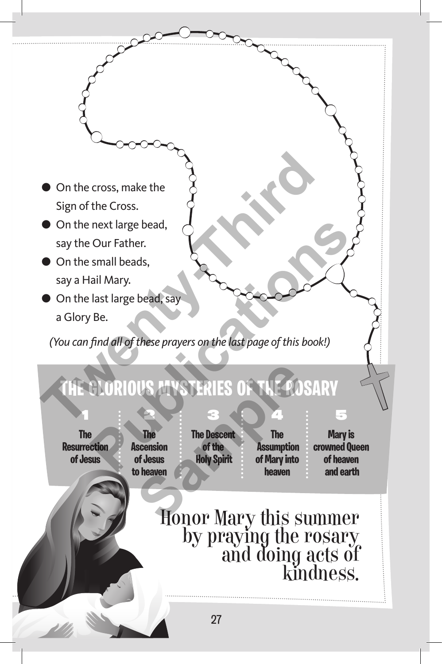- On the cross, make the Sign of the Cross.
- **On the next large bead,** say the Our Father.
- **On the small beads.** say a Hail Mary.
- On the last large bead, say a Glory Be.

*(You can find all of these prayers on the last page of this book!)*

## **The Glorious Mysteries of the Rosary** ● On the cross, make the<br>
Sign of the Cross.<br>
● Sign of the Cross.<br>
● On the next large bead,<br>
say the Our Father.<br>
● On the small beads,<br>
say a Hail Mary.<br>
● On the last large bead, say<br>
a Glory Be.<br>
(You can find all of Formal beads,<br>
Publications and these prayers on the last page of this book!)<br>
Publications **Publications in the last page of this book!**<br>
Publication **Publication**<br>
Publication **Publication**<br>
Publication **Publication**<br>
Pu **STERIES OF THE CONSIDERIES OF THE CONSIDERIES OF THE CONSISTENCE SCRIPTION**<br>
The The Descent The Assumption<br>
of Jesus Holy Spirit of Mary into<br>
o heaven<br> **Samples** Assumption<br>
o heaven<br> **Samples** Assumption<br>
o heaven

**The Resurrection of Jesus**

1

**The Ascension of Jesus to heaven**

2

**The Descent of the Holy Spirit**

3

**The Assumption of Mary into heaven**

4

**Mary is crowned Queen of heaven and earth**

5

Honor Mary this summer by praying the rosary and doing acts of kindness.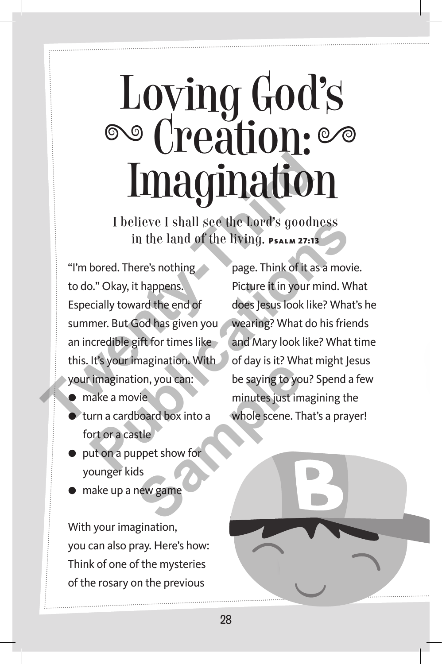## Loving God's Creation:

I believe I shall see the Lord's goodness in the land of the living. Psalm 27:13

28

I believe I shall see the Lord's goodness<br>in the land of the living. PSALM 27:13<br>"I'm bored. There's nothing<br>to do." Okay, it happens.<br>Especially toward the end of<br>summer. But God has given you wearing? What do his<br>an incr "I'm bored. There's nothing to do." Okay, it happens. Especially toward the end of summer. But God has given you an incredible gift for times like this. It's your imagination. With your imagination, you can:

- make a movie
- turn a cardboard box into a fort or a castle
- put on a puppet show for younger kids
- make up a new game

With your imagination, you can also pray. Here's how: Think of one of the mysteries of the rosary on the previous

page. Think of it as a movie. Picture it in your mind. What does Jesus look like? What's he wearing? What do his friends and Mary look like? What time of day is it? What might Jesus be saying to you? Spend a few minutes just imagining the whole scene. That's a prayer! **Publication 1** Stall see the Lord's goodness<br>
in the land of the living. **PSALM 27:13**<br>
bored. There's nothing<br>
Dage. Think of it as a movie.<br>
Dage. Think of it as a movie.<br>
Picture it in your mind. Wha<br>
does Jesus look l

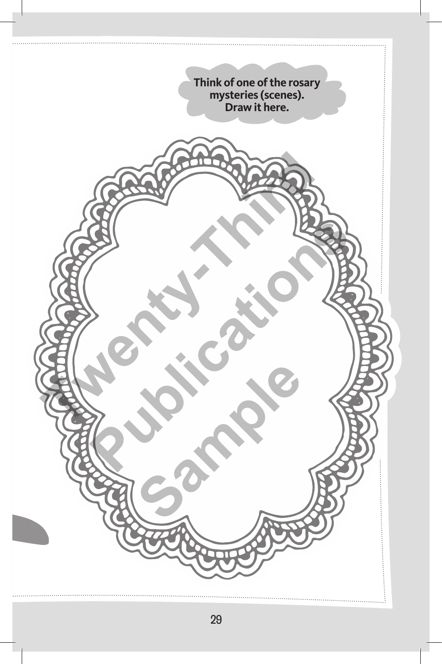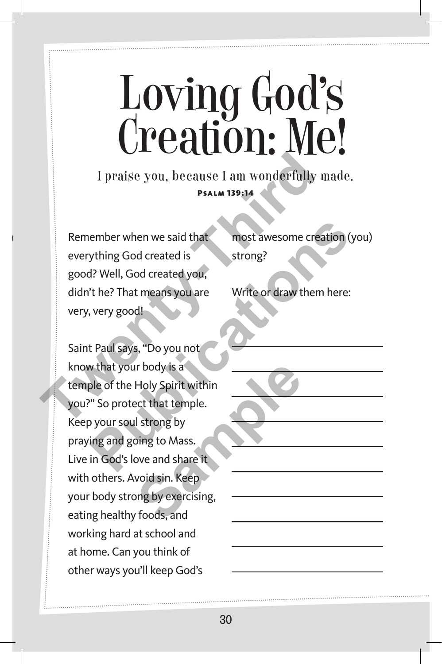## Loving God's Creation: Me!

I praise you, because I am wonderfully made. Psalm 139:14

Remember when we said that everything God created is good? Well, God created you, didn't he? That means you are very, very good!

Saint Paul says, "Do you not know that your body is a temple of the Holy Spirit within you?" So protect that temple. Keep your soul strong by praying and going to Mass. Live in God's love and share it with others. Avoid sin. Keep your body strong by exercising, eating healthy foods, and working hard at school and at home. Can you think of other ways you'll keep God's I praise you, because I am wonderfully m<br>
PSALM 139:14<br>
Remember when we said that<br>
everything God created is<br>
good? Well, God created you,<br>
didn't he? That means you are<br>
very, very good!<br>
Saint Paul says, "Do you not<br>
kn Frame the move said that<br>
Thing God created is<br>
trong?<br>
Publications **Publications and the move of the move of the move of the Holy Spirit<br>
That means you are<br>
Publications with the move of the Holy Spirit within<br>
Publicat** In the body is a<br>
Holy Spirit within<br>
ect that temple.<br>
I strong by<br>
bing to Mass.<br>
ove and share it<br>
void sin. Keep<br>
ong by exercising,<br>
r foods, and

most awesome creation (you) strong?

Write or draw them here: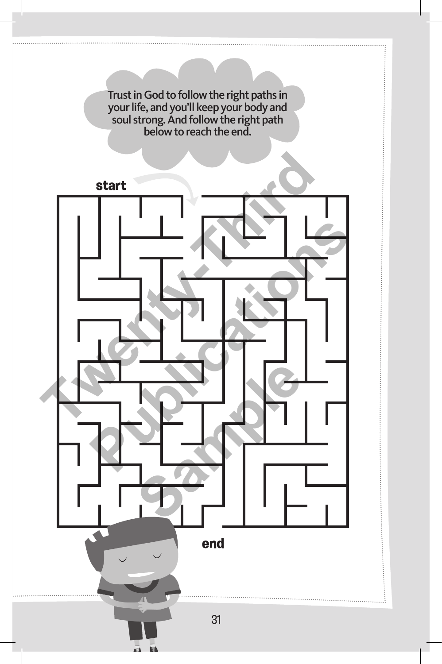